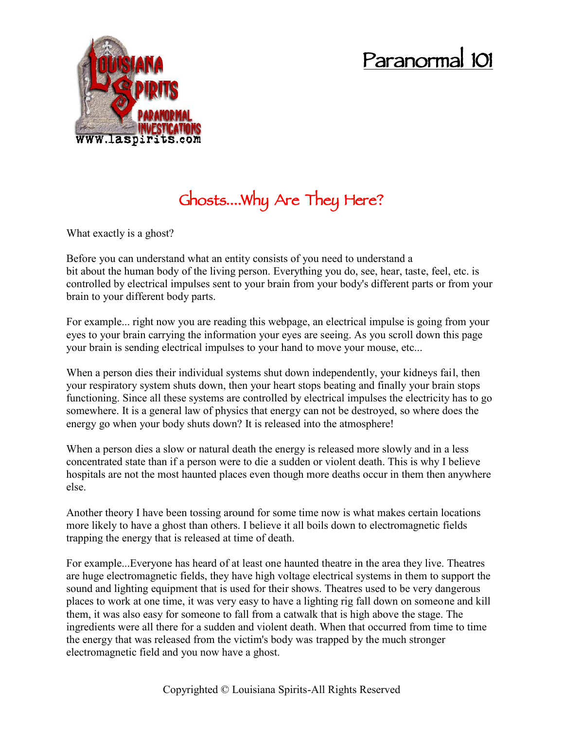## **Paranormal 101**



## **Ghosts….Why Are They Here?**

What exactly is a ghost?

Before you can understand what an entity consists of you need to understand a bit about the human body of the living person. Everything you do, see, hear, taste, feel, etc. is controlled by electrical impulses sent to your brain from your body's different parts or from your brain to your different body parts.

For example... right now you are reading this webpage, an electrical impulse is going from your eyes to your brain carrying the information your eyes are seeing. As you scroll down this page your brain is sending electrical impulses to your hand to move your mouse, etc...

When a person dies their individual systems shut down independently, your kidneys fail, then your respiratory system shuts down, then your heart stops beating and finally your brain stops functioning. Since all these systems are controlled by electrical impulses the electricity has to go somewhere. It is a general law of physics that energy can not be destroyed, so where does the energy go when your body shuts down? It is released into the atmosphere!

When a person dies a slow or natural death the energy is released more slowly and in a less concentrated state than if a person were to die a sudden or violent death. This is why I believe hospitals are not the most haunted places even though more deaths occur in them then anywhere else.

Another theory I have been tossing around for some time now is what makes certain locations more likely to have a ghost than others. I believe it all boils down to electromagnetic fields trapping the energy that is released at time of death.

For example...Everyone has heard of at least one haunted theatre in the area they live. Theatres are huge electromagnetic fields, they have high voltage electrical systems in them to support the sound and lighting equipment that is used for their shows. Theatres used to be very dangerous places to work at one time, it was very easy to have a lighting rig fall down on someone and kill them, it was also easy for someone to fall from a catwalk that is high above the stage. The ingredients were all there for a sudden and violent death. When that occurred from time to time the energy that was released from the victim's body was trapped by the much stronger electromagnetic field and you now have a ghost.